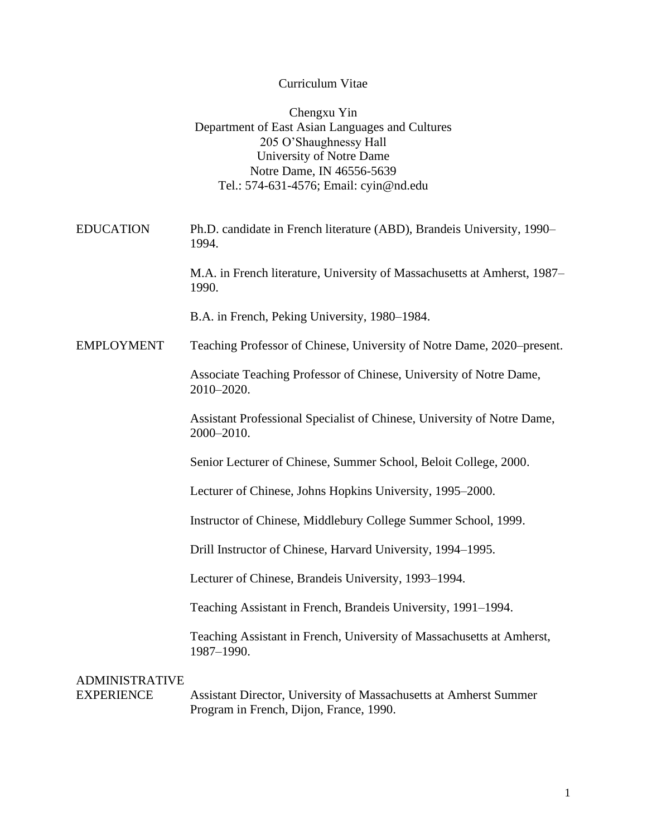### Curriculum Vitae

|                                            | Chengxu Yin<br>Department of East Asian Languages and Cultures<br>205 O'Shaughnessy Hall<br>University of Notre Dame<br>Notre Dame, IN 46556-5639<br>Tel.: 574-631-4576; Email: cyin@nd.edu |
|--------------------------------------------|---------------------------------------------------------------------------------------------------------------------------------------------------------------------------------------------|
| <b>EDUCATION</b>                           | Ph.D. candidate in French literature (ABD), Brandeis University, 1990–<br>1994.                                                                                                             |
|                                            | M.A. in French literature, University of Massachusetts at Amherst, 1987–<br>1990.                                                                                                           |
|                                            | B.A. in French, Peking University, 1980–1984.                                                                                                                                               |
| <b>EMPLOYMENT</b>                          | Teaching Professor of Chinese, University of Notre Dame, 2020–present.                                                                                                                      |
|                                            | Associate Teaching Professor of Chinese, University of Notre Dame,<br>2010-2020.                                                                                                            |
|                                            | Assistant Professional Specialist of Chinese, University of Notre Dame,<br>2000-2010.                                                                                                       |
|                                            | Senior Lecturer of Chinese, Summer School, Beloit College, 2000.                                                                                                                            |
|                                            | Lecturer of Chinese, Johns Hopkins University, 1995–2000.                                                                                                                                   |
|                                            | Instructor of Chinese, Middlebury College Summer School, 1999.                                                                                                                              |
|                                            | Drill Instructor of Chinese, Harvard University, 1994–1995.                                                                                                                                 |
|                                            | Lecturer of Chinese, Brandeis University, 1993-1994.                                                                                                                                        |
|                                            | Teaching Assistant in French, Brandeis University, 1991–1994.                                                                                                                               |
|                                            | Teaching Assistant in French, University of Massachusetts at Amherst,<br>1987-1990.                                                                                                         |
| <b>ADMINISTRATIVE</b><br><b>EXPERIENCE</b> | Assistant Director, University of Massachusetts at Amherst Summer<br>Program in French, Dijon, France, 1990.                                                                                |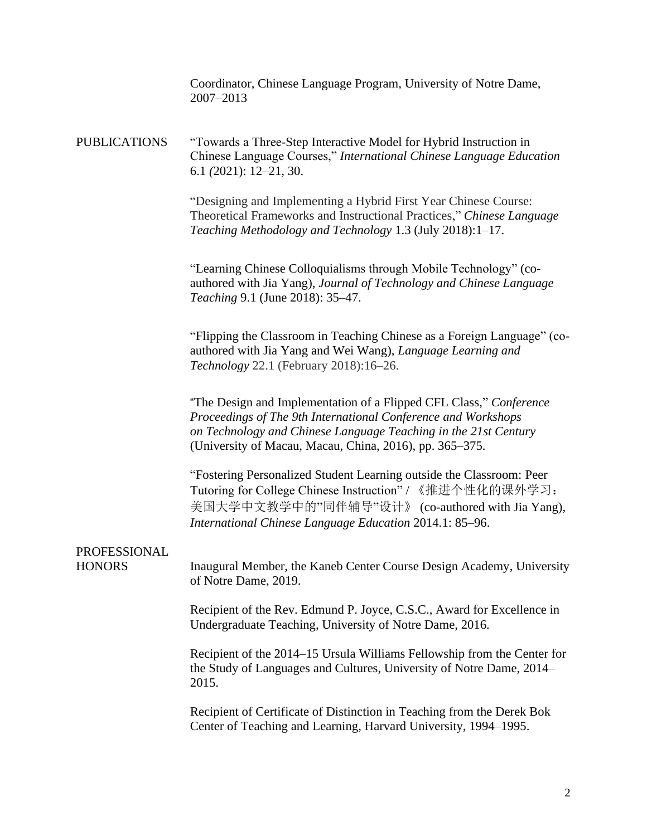Coordinator, Chinese Language Program, University of Notre Dame, 2007–2013

PUBLICATIONS "Towards a Three-Step Interactive Model for Hybrid Instruction in Chinese Language Courses," *International Chinese Language Education* 6.1 *(*2021): 12–21, 30.

> "Designing and [Implementing](https://engagedscholarship.csuohio.edu/cgi/viewcontent.cgi?article=1026&context=cltmt) a Hybrid First Year Chinese Course: Theoretical Frameworks and [Instructional](https://engagedscholarship.csuohio.edu/cgi/viewcontent.cgi?article=1026&context=cltmt) Practices," *Chinese Language Teaching Methodology and Technology* 1.3 (July 2018):1–17.

"Learning Chinese Colloquialisms through Mobile Technology" (coauthored with Jia Yang), *Journal of Technology and Chinese Language Teaching* 9.1 (June 2018): 35–47.

"Flipping the Classroom in Teaching Chinese as a Foreign Language" (coauthored with Jia Yang and Wei Wang), *Language Learning and Technology* 22.1 (February 2018):16–26.

"The Design and Implementation of a Flipped CFL Class," *Conference Proceedings of The 9th International Conference and Workshops on Technology and Chinese Language Teaching in the 21st Century* (University of Macau, Macau, China, 2016), pp. 365–375.

"Fostering Personalized Student Learning outside the Classroom: Peer Tutoring for College Chinese Instruction" / 《推进个性化的课外学习: 美国大学中文教学中的"同伴辅导"设计》 (co-authored with Jia Yang), *International Chinese Language Education* 2014.1: 85–96.

## PROFESSIONAL

HONORS Inaugural Member, the Kaneb Center Course Design Academy, University of Notre Dame, 2019.

> Recipient of the Rev. Edmund P. Joyce, C.S.C., Award for Excellence in Undergraduate Teaching, University of Notre Dame, 2016.

Recipient of the 2014–15 Ursula Williams Fellowship from the Center for the Study of Languages and Cultures, University of Notre Dame, 2014– 2015.

Recipient of Certificate of Distinction in Teaching from the Derek Bok Center of Teaching and Learning, Harvard University, 1994–1995.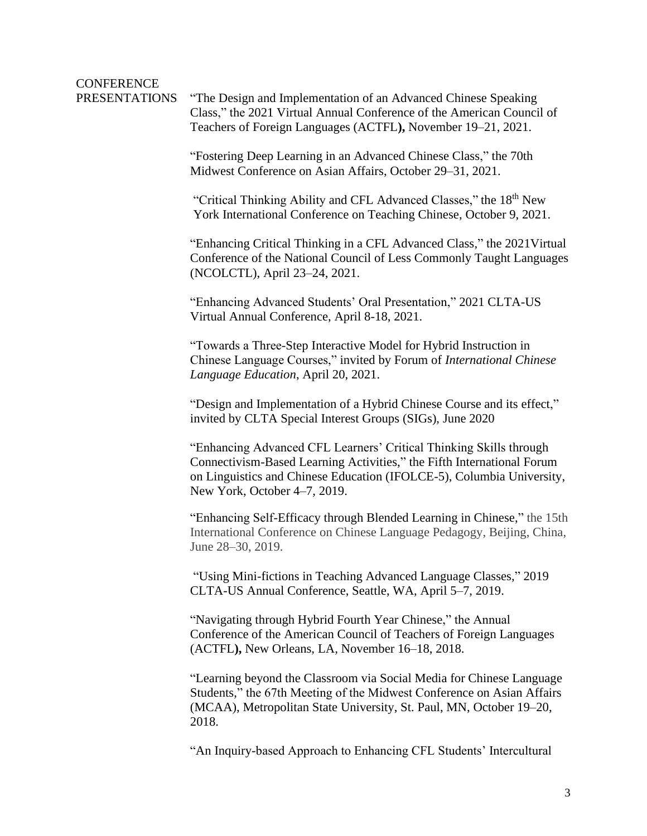# CONFERENCE

PRESENTATIONS "The Design and Implementation of an Advanced Chinese Speaking Class," the 2021 Virtual Annual Conference of the American Council of Teachers of Foreign Languages (ACTFL**),** November 19–21, 2021.

> "Fostering Deep Learning in an Advanced Chinese Class," the 70th Midwest Conference on Asian Affairs, October 29–31, 2021.

"Critical Thinking Ability and CFL Advanced Classes," the 18th New York International Conference on Teaching Chinese, October 9, 2021.

"Enhancing Critical Thinking in a CFL Advanced Class," the 2021Virtual Conference of the National Council of Less Commonly Taught Languages (NCOLCTL), April 23–24, 2021.

"Enhancing Advanced Students' Oral Presentation," 2021 CLTA-US Virtual Annual Conference, April 8-18, 2021.

"Towards a Three-Step Interactive Model for Hybrid Instruction in Chinese Language Courses," invited by Forum of *International Chinese Language Education*, April 20, 2021.

"Design and Implementation of a Hybrid Chinese Course and its effect," invited by CLTA Special Interest Groups (SIGs), June 2020

"Enhancing Advanced CFL Learners' Critical Thinking Skills through Connectivism-Based Learning Activities," the Fifth International Forum on Linguistics and Chinese Education (IFOLCE-5), Columbia University, New York, October 4–7, 2019.

"Enhancing Self-Efficacy through Blended Learning in Chinese," the 15th International Conference on Chinese Language Pedagogy, Beijing, China, June 28–30, 2019.

"Using Mini-fictions in Teaching Advanced Language Classes," 2019 CLTA-US Annual Conference, Seattle, WA, April 5–7, 2019.

"Navigating through Hybrid Fourth Year Chinese," the Annual Conference of the American Council of Teachers of Foreign Languages (ACTFL**),** New Orleans, LA, November 16–18, 2018.

"Learning beyond the Classroom via Social Media for Chinese Language Students," the 67th Meeting of the Midwest Conference on Asian Affairs (MCAA), Metropolitan State University, St. Paul, MN, October 19–20, 2018.

"An Inquiry-based Approach to Enhancing CFL Students' Intercultural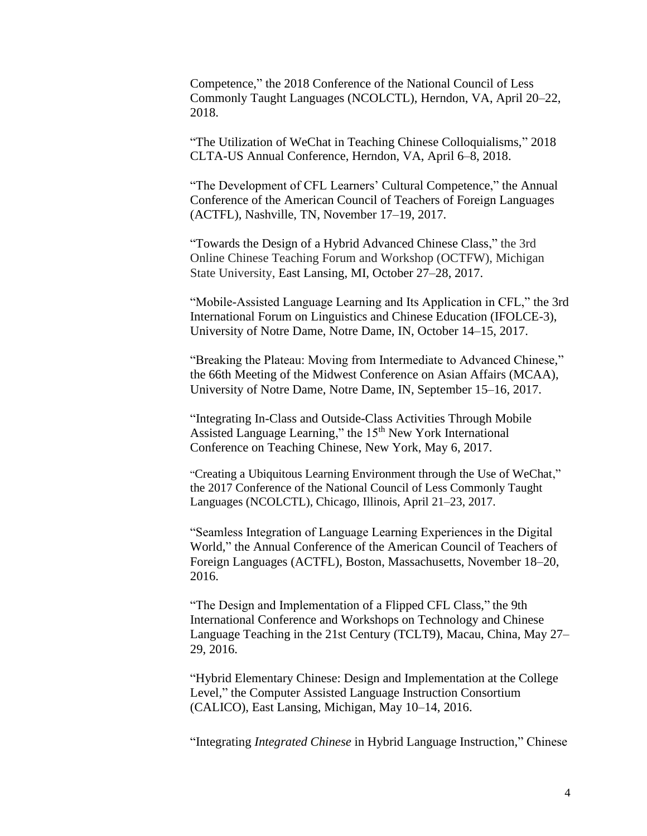Competence," the 2018 Conference of the National Council of Less Commonly Taught Languages (NCOLCTL), Herndon, VA, April 20–22, 2018.

"The Utilization of WeChat in Teaching Chinese Colloquialisms," 2018 CLTA-US Annual Conference, Herndon, VA, April 6–8, 2018.

"The Development of CFL Learners' Cultural Competence," the Annual Conference of the American Council of Teachers of Foreign Languages (ACTFL), Nashville, TN, November 17–19, 2017.

"Towards the Design of a Hybrid Advanced Chinese Class," the 3rd Online Chinese Teaching Forum and Workshop (OCTFW), Michigan State University, East Lansing, MI, October 27–28, 2017.

"Mobile-Assisted Language Learning and Its Application in CFL," the 3rd International Forum on Linguistics and Chinese Education (IFOLCE-3), University of Notre Dame, Notre Dame, IN, October 14–15, 2017.

"Breaking the Plateau: Moving from Intermediate to Advanced Chinese," the 66th Meeting of the Midwest Conference on Asian Affairs (MCAA), University of Notre Dame, Notre Dame, IN, September 15–16, 2017.

"Integrating In-Class and Outside-Class Activities Through Mobile Assisted Language Learning," the 15<sup>th</sup> New York International Conference on Teaching Chinese, New York, May 6, 2017.

"Creating a Ubiquitous Learning Environment through the Use of WeChat," the 2017 Conference of the National Council of Less Commonly Taught Languages (NCOLCTL), Chicago, Illinois, April 21–23, 2017.

"Seamless Integration of Language Learning Experiences in the Digital World," the Annual Conference of the American Council of Teachers of Foreign Languages (ACTFL), Boston, Massachusetts, November 18–20, 2016.

"The Design and Implementation of a Flipped CFL Class," the 9th International Conference and Workshops on Technology and Chinese Language Teaching in the 21st Century (TCLT9), Macau, China, May 27– 29, 2016.

"Hybrid Elementary Chinese: Design and Implementation at the College Level," the Computer Assisted Language Instruction Consortium (CALICO), East Lansing, Michigan, May 10–14, 2016.

"Integrating *Integrated Chinese* in Hybrid Language Instruction," Chinese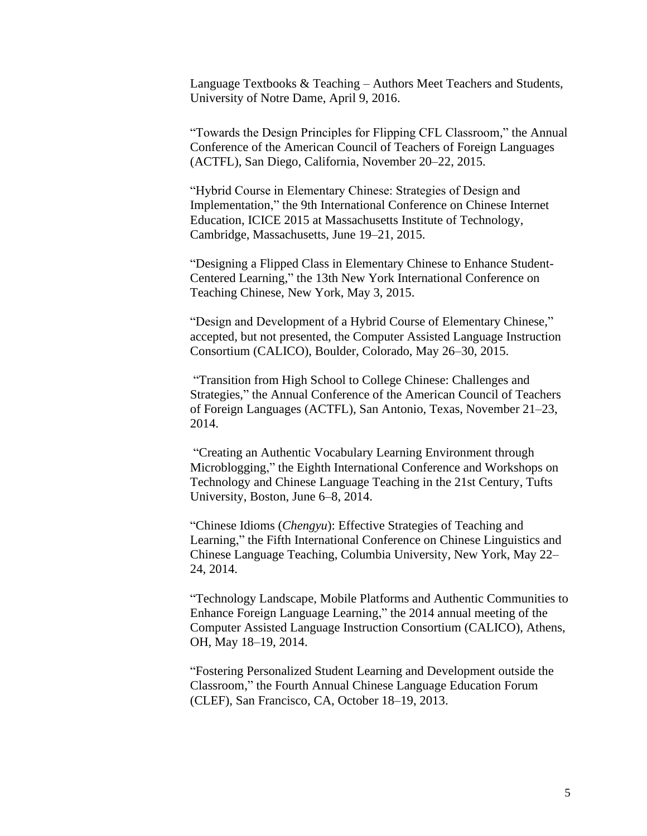Language Textbooks & Teaching – Authors Meet Teachers and Students, University of Notre Dame, April 9, 2016.

"Towards the Design Principles for Flipping CFL Classroom," the Annual Conference of the American Council of Teachers of Foreign Languages (ACTFL), San Diego, California, November 20–22, 2015.

"Hybrid Course in Elementary Chinese: Strategies of Design and Implementation," the 9th International Conference on Chinese Internet Education, ICICE 2015 at Massachusetts Institute of Technology, Cambridge, Massachusetts, June 19–21, 2015.

"Designing a Flipped Class in Elementary Chinese to Enhance Student-Centered Learning," the 13th New York International Conference on Teaching Chinese, New York, May 3, 2015.

"Design and Development of a Hybrid Course of Elementary Chinese," accepted, but not presented, the Computer Assisted Language Instruction Consortium (CALICO), Boulder, Colorado, May 26–30, 2015.

"Transition from High School to College Chinese: Challenges and Strategies," the Annual Conference of the American Council of Teachers of Foreign Languages (ACTFL), San Antonio, Texas, November 21–23, 2014.

"Creating an Authentic Vocabulary Learning Environment through Microblogging," the Eighth International Conference and Workshops on Technology and Chinese Language Teaching in the 21st Century, Tufts University, Boston, June 6–8, 2014.

"Chinese Idioms (*Chengyu*): Effective Strategies of Teaching and Learning," the Fifth International Conference on Chinese Linguistics and Chinese Language Teaching, Columbia University, New York, May 22– 24, 2014.

"Technology Landscape, Mobile Platforms and Authentic Communities to Enhance Foreign Language Learning," the 2014 annual meeting of the Computer Assisted Language Instruction Consortium (CALICO), Athens, OH, May 18–19, 2014.

"Fostering Personalized Student Learning and Development outside the Classroom," the Fourth Annual Chinese Language Education Forum (CLEF), San Francisco, CA, October 18–19, 2013.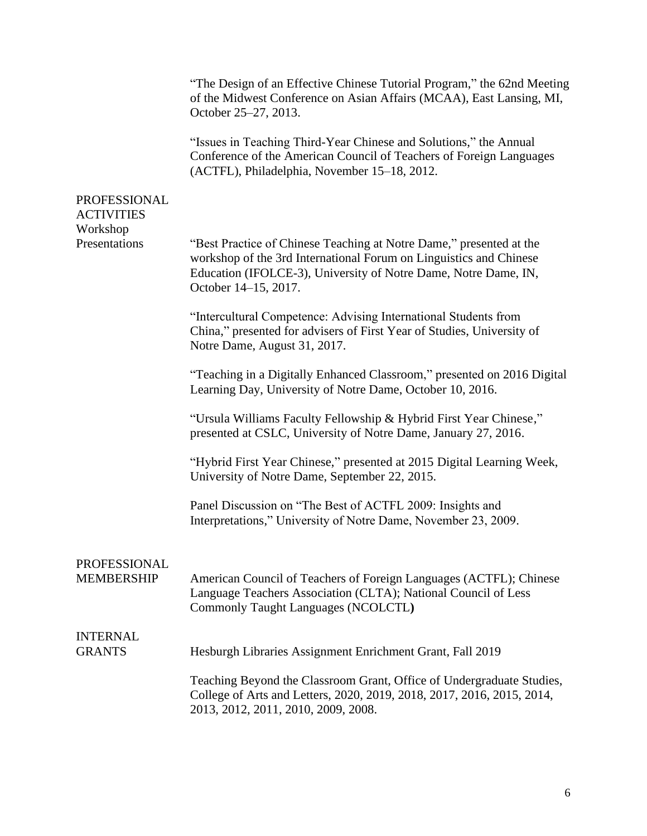|                                          | "The Design of an Effective Chinese Tutorial Program," the 62nd Meeting<br>of the Midwest Conference on Asian Affairs (MCAA), East Lansing, MI,<br>October 25–27, 2013.                                                              |
|------------------------------------------|--------------------------------------------------------------------------------------------------------------------------------------------------------------------------------------------------------------------------------------|
|                                          | "Issues in Teaching Third-Year Chinese and Solutions," the Annual<br>Conference of the American Council of Teachers of Foreign Languages<br>(ACTFL), Philadelphia, November 15-18, 2012.                                             |
| PROFESSIONAL<br><b>ACTIVITIES</b>        |                                                                                                                                                                                                                                      |
| Workshop<br>Presentations                | "Best Practice of Chinese Teaching at Notre Dame," presented at the<br>workshop of the 3rd International Forum on Linguistics and Chinese<br>Education (IFOLCE-3), University of Notre Dame, Notre Dame, IN,<br>October 14-15, 2017. |
|                                          | "Intercultural Competence: Advising International Students from<br>China," presented for advisers of First Year of Studies, University of<br>Notre Dame, August 31, 2017.                                                            |
|                                          | "Teaching in a Digitally Enhanced Classroom," presented on 2016 Digital<br>Learning Day, University of Notre Dame, October 10, 2016.                                                                                                 |
|                                          | "Ursula Williams Faculty Fellowship & Hybrid First Year Chinese,"<br>presented at CSLC, University of Notre Dame, January 27, 2016.                                                                                                  |
|                                          | "Hybrid First Year Chinese," presented at 2015 Digital Learning Week,<br>University of Notre Dame, September 22, 2015.                                                                                                               |
|                                          | Panel Discussion on "The Best of ACTFL 2009: Insights and<br>Interpretations," University of Notre Dame, November 23, 2009.                                                                                                          |
| <b>PROFESSIONAL</b><br><b>MEMBERSHIP</b> | American Council of Teachers of Foreign Languages (ACTFL); Chinese<br>Language Teachers Association (CLTA); National Council of Less<br><b>Commonly Taught Languages (NCOLCTL)</b>                                                   |
| <b>INTERNAL</b><br><b>GRANTS</b>         | Hesburgh Libraries Assignment Enrichment Grant, Fall 2019                                                                                                                                                                            |
|                                          | Teaching Beyond the Classroom Grant, Office of Undergraduate Studies,<br>College of Arts and Letters, 2020, 2019, 2018, 2017, 2016, 2015, 2014,<br>2013, 2012, 2011, 2010, 2009, 2008.                                               |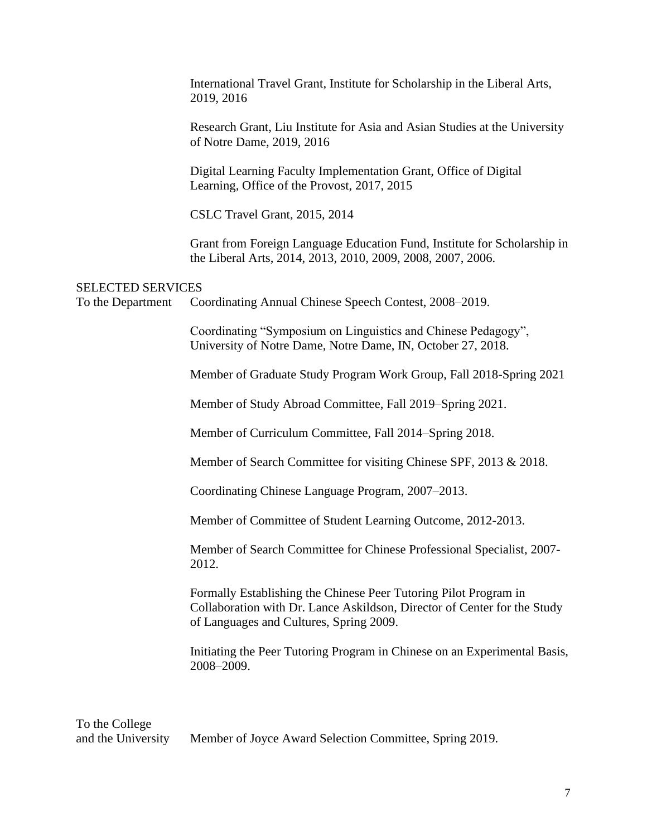|                                               | International Travel Grant, Institute for Scholarship in the Liberal Arts,<br>2019, 2016                                                                                                |
|-----------------------------------------------|-----------------------------------------------------------------------------------------------------------------------------------------------------------------------------------------|
|                                               | Research Grant, Liu Institute for Asia and Asian Studies at the University<br>of Notre Dame, 2019, 2016                                                                                 |
|                                               | Digital Learning Faculty Implementation Grant, Office of Digital<br>Learning, Office of the Provost, 2017, 2015                                                                         |
|                                               | CSLC Travel Grant, 2015, 2014                                                                                                                                                           |
|                                               | Grant from Foreign Language Education Fund, Institute for Scholarship in<br>the Liberal Arts, 2014, 2013, 2010, 2009, 2008, 2007, 2006.                                                 |
| <b>SELECTED SERVICES</b><br>To the Department | Coordinating Annual Chinese Speech Contest, 2008–2019.                                                                                                                                  |
|                                               | Coordinating "Symposium on Linguistics and Chinese Pedagogy",<br>University of Notre Dame, Notre Dame, IN, October 27, 2018.                                                            |
|                                               | Member of Graduate Study Program Work Group, Fall 2018-Spring 2021                                                                                                                      |
|                                               | Member of Study Abroad Committee, Fall 2019–Spring 2021.                                                                                                                                |
|                                               | Member of Curriculum Committee, Fall 2014–Spring 2018.                                                                                                                                  |
|                                               | Member of Search Committee for visiting Chinese SPF, 2013 & 2018.                                                                                                                       |
|                                               | Coordinating Chinese Language Program, 2007–2013.                                                                                                                                       |
|                                               | Member of Committee of Student Learning Outcome, 2012-2013.                                                                                                                             |
|                                               | Member of Search Committee for Chinese Professional Specialist, 2007-<br>2012.                                                                                                          |
|                                               | Formally Establishing the Chinese Peer Tutoring Pilot Program in<br>Collaboration with Dr. Lance Askildson, Director of Center for the Study<br>of Languages and Cultures, Spring 2009. |
|                                               | Initiating the Peer Tutoring Program in Chinese on an Experimental Basis,<br>2008-2009.                                                                                                 |

To the College<br>and the University Member of Joyce Award Selection Committee, Spring 2019.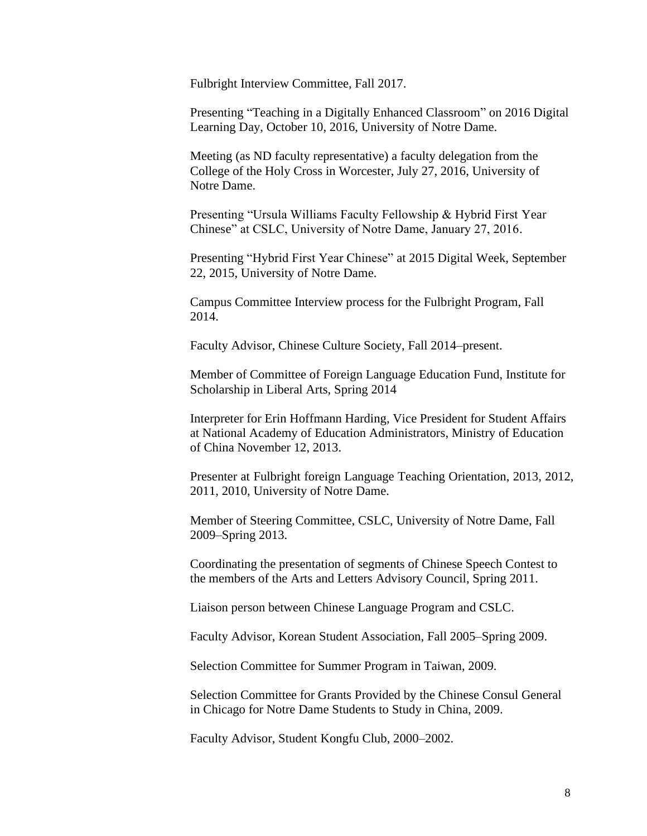Fulbright Interview Committee, Fall 2017.

Presenting "Teaching in a Digitally Enhanced Classroom" on 2016 Digital Learning Day, October 10, 2016, University of Notre Dame.

Meeting (as ND faculty representative) a faculty delegation from the College of the Holy Cross in Worcester, July 27, 2016, University of Notre Dame.

Presenting "Ursula Williams Faculty Fellowship & Hybrid First Year Chinese" at CSLC, University of Notre Dame, January 27, 2016.

Presenting "Hybrid First Year Chinese" at 2015 Digital Week, September 22, 2015, University of Notre Dame.

Campus Committee Interview process for the Fulbright Program, Fall 2014.

Faculty Advisor, Chinese Culture Society, Fall 2014–present.

Member of Committee of Foreign Language Education Fund, Institute for Scholarship in Liberal Arts, Spring 2014

Interpreter for Erin Hoffmann Harding, Vice President for Student Affairs at National Academy of Education Administrators, Ministry of Education of China November 12, 2013.

Presenter at Fulbright foreign Language Teaching Orientation, 2013, 2012, 2011, 2010, University of Notre Dame.

Member of Steering Committee, CSLC, University of Notre Dame, Fall 2009–Spring 2013.

Coordinating the presentation of segments of Chinese Speech Contest to the members of the Arts and Letters Advisory Council, Spring 2011.

Liaison person between Chinese Language Program and CSLC.

Faculty Advisor, Korean Student Association, Fall 2005–Spring 2009.

Selection Committee for Summer Program in Taiwan, 2009.

Selection Committee for Grants Provided by the Chinese Consul General in Chicago for Notre Dame Students to Study in China, 2009.

Faculty Advisor, Student Kongfu Club, 2000–2002.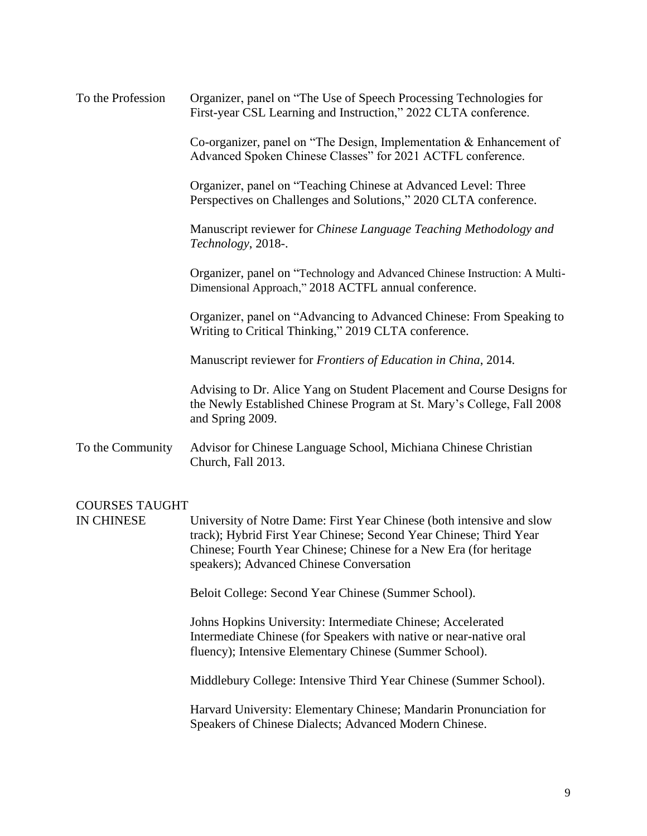| To the Profession | Organizer, panel on "The Use of Speech Processing Technologies for<br>First-year CSL Learning and Instruction," 2022 CLTA conference.                                |
|-------------------|----------------------------------------------------------------------------------------------------------------------------------------------------------------------|
|                   | Co-organizer, panel on "The Design, Implementation & Enhancement of<br>Advanced Spoken Chinese Classes" for 2021 ACTFL conference.                                   |
|                   | Organizer, panel on "Teaching Chinese at Advanced Level: Three<br>Perspectives on Challenges and Solutions," 2020 CLTA conference.                                   |
|                   | Manuscript reviewer for Chinese Language Teaching Methodology and<br>Technology, 2018-.                                                                              |
|                   | Organizer, panel on "Technology and Advanced Chinese Instruction: A Multi-<br>Dimensional Approach," 2018 ACTFL annual conference.                                   |
|                   | Organizer, panel on "Advancing to Advanced Chinese: From Speaking to<br>Writing to Critical Thinking," 2019 CLTA conference.                                         |
|                   | Manuscript reviewer for Frontiers of Education in China, 2014.                                                                                                       |
|                   | Advising to Dr. Alice Yang on Student Placement and Course Designs for<br>the Newly Established Chinese Program at St. Mary's College, Fall 2008<br>and Spring 2009. |
| To the Community  | Advisor for Chinese Language School, Michiana Chinese Christian<br>Church, Fall 2013.                                                                                |
|                   |                                                                                                                                                                      |

#### COURSES TAUGHT

IN CHINESE University of Notre Dame: First Year Chinese (both intensive and slow track); Hybrid First Year Chinese; Second Year Chinese; Third Year Chinese; Fourth Year Chinese; Chinese for a New Era (for heritage speakers); Advanced Chinese Conversation

Beloit College: Second Year Chinese (Summer School).

Johns Hopkins University: Intermediate Chinese; Accelerated Intermediate Chinese (for Speakers with native or near-native oral fluency); Intensive Elementary Chinese (Summer School).

Middlebury College: Intensive Third Year Chinese (Summer School).

Harvard University: Elementary Chinese; Mandarin Pronunciation for Speakers of Chinese Dialects; Advanced Modern Chinese.